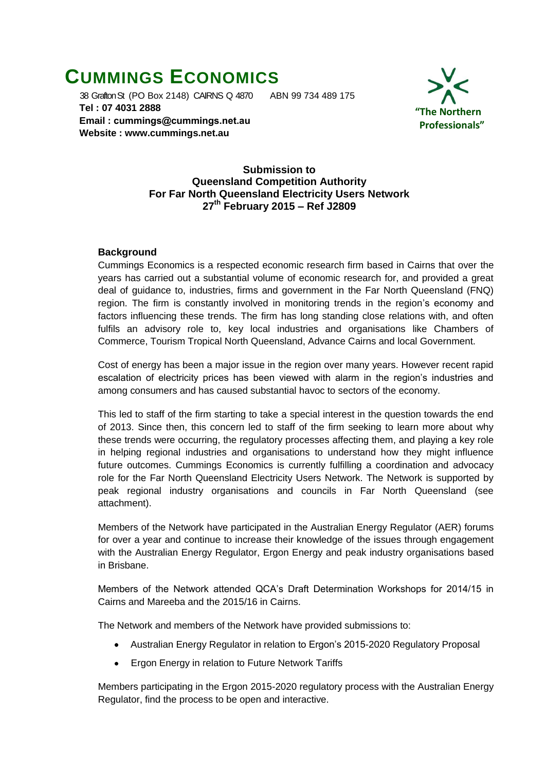# **CUMMINGS ECONOMICS**

 38 Grafton St (PO Box 2148) CAIRNS Q 4870 ABN 99 734 489 175  **Tel : 07 4031 2888 Email : [cummings@cummings.net.au](mailto:cummings@cummings.net.au) Website : www.cummings.net.au**



#### **Submission to Queensland Competition Authority For Far North Queensland Electricity Users Network 27th February 2015 – Ref J2809**

# **Background**

Cummings Economics is a respected economic research firm based in Cairns that over the years has carried out a substantial volume of economic research for, and provided a great deal of guidance to, industries, firms and government in the Far North Queensland (FNQ) region. The firm is constantly involved in monitoring trends in the region's economy and factors influencing these trends. The firm has long standing close relations with, and often fulfils an advisory role to, key local industries and organisations like Chambers of Commerce, Tourism Tropical North Queensland, Advance Cairns and local Government.

Cost of energy has been a major issue in the region over many years. However recent rapid escalation of electricity prices has been viewed with alarm in the region's industries and among consumers and has caused substantial havoc to sectors of the economy.

This led to staff of the firm starting to take a special interest in the question towards the end of 2013. Since then, this concern led to staff of the firm seeking to learn more about why these trends were occurring, the regulatory processes affecting them, and playing a key role in helping regional industries and organisations to understand how they might influence future outcomes. Cummings Economics is currently fulfilling a coordination and advocacy role for the Far North Queensland Electricity Users Network. The Network is supported by peak regional industry organisations and councils in Far North Queensland (see attachment).

Members of the Network have participated in the Australian Energy Regulator (AER) forums for over a year and continue to increase their knowledge of the issues through engagement with the Australian Energy Regulator, Ergon Energy and peak industry organisations based in Brisbane.

Members of the Network attended QCA's Draft Determination Workshops for 2014/15 in Cairns and Mareeba and the 2015/16 in Cairns.

The Network and members of the Network have provided submissions to:

- $\bullet$ Australian Energy Regulator in relation to Ergon's 2015-2020 Regulatory Proposal
- Ergon Energy in relation to Future Network Tariffs  $\bullet$

Members participating in the Ergon 2015-2020 regulatory process with the Australian Energy Regulator, find the process to be open and interactive.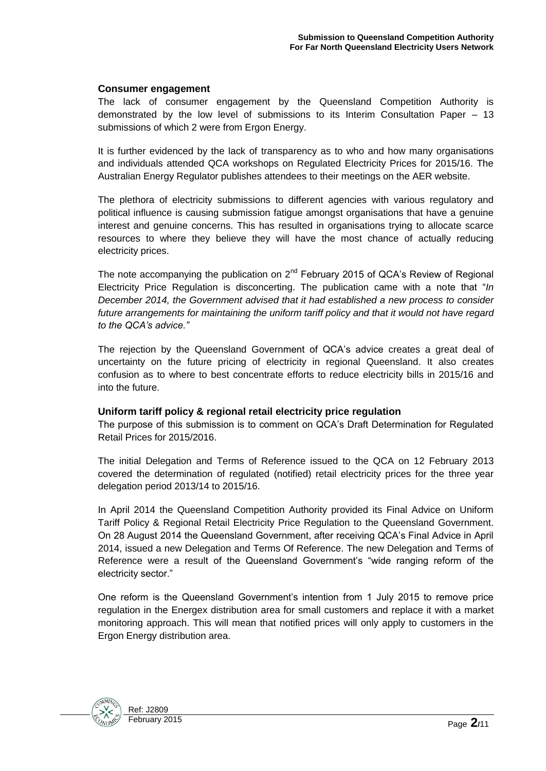#### **Consumer engagement**

The lack of consumer engagement by the Queensland Competition Authority is demonstrated by the low level of submissions to its Interim Consultation Paper – 13 submissions of which 2 were from Ergon Energy.

It is further evidenced by the lack of transparency as to who and how many organisations and individuals attended QCA workshops on Regulated Electricity Prices for 2015/16. The Australian Energy Regulator publishes attendees to their meetings on the AER website.

The plethora of electricity submissions to different agencies with various regulatory and political influence is causing submission fatigue amongst organisations that have a genuine interest and genuine concerns. This has resulted in organisations trying to allocate scarce resources to where they believe they will have the most chance of actually reducing electricity prices.

The note accompanying the publication on  $2^{nd}$  February 2015 of QCA's Review of Regional Electricity Price Regulation is disconcerting. The publication came with a note that "*In December 2014, the Government advised that it had established a new process to consider future arrangements for maintaining the uniform tariff policy and that it would not have regard to the QCA's advice."*

The rejection by the Queensland Government of QCA's advice creates a great deal of uncertainty on the future pricing of electricity in regional Queensland. It also creates confusion as to where to best concentrate efforts to reduce electricity bills in 2015/16 and into the future.

#### **Uniform tariff policy & regional retail electricity price regulation**

The purpose of this submission is to comment on QCA's Draft Determination for Regulated Retail Prices for 2015/2016.

The initial Delegation and Terms of Reference issued to the QCA on 12 February 2013 covered the determination of regulated (notified) retail electricity prices for the three year delegation period 2013/14 to 2015/16.

In April 2014 the Queensland Competition Authority provided its Final Advice on Uniform Tariff Policy & Regional Retail Electricity Price Regulation to the Queensland Government. On 28 August 2014 the Queensland Government, after receiving QCA's Final Advice in April 2014, issued a new Delegation and Terms Of Reference. The new Delegation and Terms of Reference were a result of the Queensland Government's "wide ranging reform of the electricity sector."

One reform is the Queensland Government's intention from 1 July 2015 to remove price regulation in the Energex distribution area for small customers and replace it with a market monitoring approach. This will mean that notified prices will only apply to customers in the Ergon Energy distribution area.

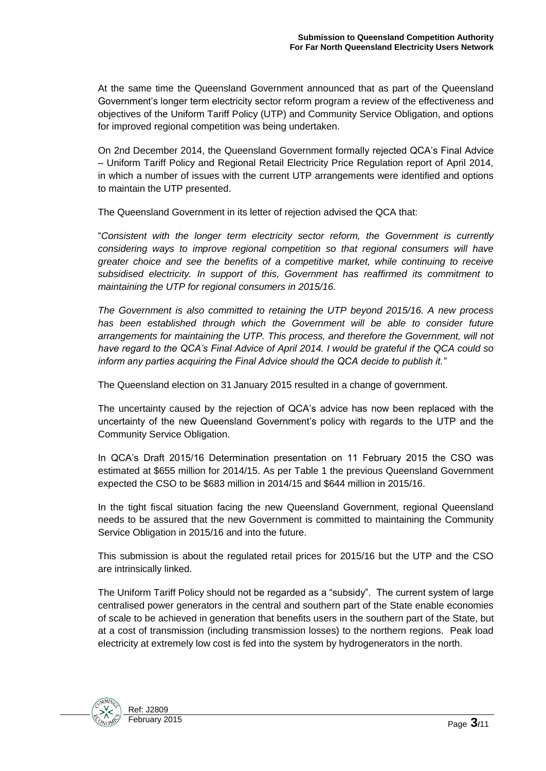At the same time the Queensland Government announced that as part of the Queensland Government's longer term electricity sector reform program a review of the effectiveness and objectives of the Uniform Tariff Policy (UTP) and Community Service Obligation, and options for improved regional competition was being undertaken.

On 2nd December 2014, the Queensland Government formally rejected QCA's Final Advice – Uniform Tariff Policy and Regional Retail Electricity Price Regulation report of April 2014, in which a number of issues with the current UTP arrangements were identified and options to maintain the UTP presented.

The Queensland Government in its letter of rejection advised the QCA that:

"*Consistent with the longer term electricity sector reform, the Government is currently considering ways to improve regional competition so that regional consumers will have greater choice and see the benefits of a competitive market, while continuing to receive subsidised electricity. In support of this, Government has reaffirmed its commitment to maintaining the UTP for regional consumers in 2015/16.* 

*The Government is also committed to retaining the UTP beyond 2015/16. A new process*  has been established through which the Government will be able to consider future *arrangements for maintaining the UTP. This process, and therefore the Government, will not have regard to the QCA's Final Advice of April 2014. I would be grateful if the QCA could so inform any parties acquiring the Final Advice should the QCA decide to publish it."*

The Queensland election on 31 January 2015 resulted in a change of government.

The uncertainty caused by the rejection of QCA's advice has now been replaced with the uncertainty of the new Queensland Government's policy with regards to the UTP and the Community Service Obligation.

In QCA's Draft 2015/16 Determination presentation on 11 February 2015 the CSO was estimated at \$655 million for 2014/15. As per Table 1 the previous Queensland Government expected the CSO to be \$683 million in 2014/15 and \$644 million in 2015/16.

In the tight fiscal situation facing the new Queensland Government, regional Queensland needs to be assured that the new Government is committed to maintaining the Community Service Obligation in 2015/16 and into the future.

This submission is about the regulated retail prices for 2015/16 but the UTP and the CSO are intrinsically linked.

The Uniform Tariff Policy should not be regarded as a "subsidy". The current system of large centralised power generators in the central and southern part of the State enable economies of scale to be achieved in generation that benefits users in the southern part of the State, but at a cost of transmission (including transmission losses) to the northern regions. Peak load electricity at extremely low cost is fed into the system by hydrogenerators in the north.

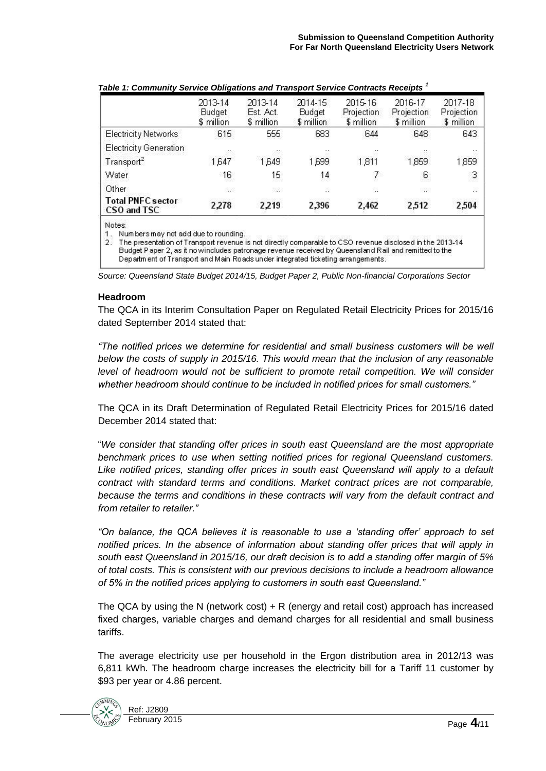|                                         | 2013-14<br>Budget<br>\$ million | 2013-14<br>Est. Act.<br>\$ million | 2014-15<br>Budget<br>\$ million | 2015-16<br>Projection<br>\$ million | 2016-17<br>Projection<br>\$ million | 2017-18<br>Projection<br>\$ million |
|-----------------------------------------|---------------------------------|------------------------------------|---------------------------------|-------------------------------------|-------------------------------------|-------------------------------------|
| <b>Electricity Networks</b>             | 615                             | 555                                | 683                             | 644                                 | 648                                 | 643                                 |
| Electricity Generation                  | 52.                             |                                    | ٠.                              |                                     | -20                                 |                                     |
| Transport <sup>2</sup>                  | 1.647                           | 1.649                              | 1,699                           | 1,811                               | 1,859                               | 1,859                               |
| Water                                   | 16                              | 15                                 | 14                              | 7                                   | $6\overline{6}$                     | 3                                   |
| Other                                   | 33                              | 38                                 | D)                              | 82                                  | -92                                 | ä.                                  |
| <b>Total PNFC sector</b><br>CSO and TSC | 2,278                           | 2.219                              | 2.396                           | 2,462                               | 2,512                               | 2,504                               |

| Table 1: Community Service Obligations and Transport Service Contracts Receipts <sup>1</sup> |  |  |
|----------------------------------------------------------------------------------------------|--|--|
|                                                                                              |  |  |

Notes

1. Numbers may not add due to rounding.

2. The presentation of Transport revenue is not directly comparable to CSO revenue disclosed in the 2013-14 Budget Paper 2, as it nowincludes patronage revenue received by Queensland Rail and remitted to the Department of Transport and Main Roads under integrated ticketing arrangements.

*Source: Queensland State Budget 2014/15, Budget Paper 2, Public Non-financial Corporations Sector*

#### **Headroom**

The QCA in its Interim Consultation Paper on Regulated Retail Electricity Prices for 2015/16 dated September 2014 stated that:

*"The notified prices we determine for residential and small business customers will be well below the costs of supply in 2015/16. This would mean that the inclusion of any reasonable level of headroom would not be sufficient to promote retail competition. We will consider whether headroom should continue to be included in notified prices for small customers."*

The QCA in its Draft Determination of Regulated Retail Electricity Prices for 2015/16 dated December 2014 stated that:

"*We consider that standing offer prices in south east Queensland are the most appropriate benchmark prices to use when setting notified prices for regional Queensland customers.*  Like notified prices, standing offer prices in south east Queensland will apply to a default *contract with standard terms and conditions. Market contract prices are not comparable,*  because the terms and conditions in these contracts will vary from the default contract and *from retailer to retailer."*

*"On balance, the QCA believes it is reasonable to use a 'standing offer' approach to set notified prices. In the absence of information about standing offer prices that will apply in south east Queensland in 2015/16, our draft decision is to add a standing offer margin of 5% of total costs. This is consistent with our previous decisions to include a headroom allowance of 5% in the notified prices applying to customers in south east Queensland."*

The QCA by using the N (network cost) + R (energy and retail cost) approach has increased fixed charges, variable charges and demand charges for all residential and small business tariffs.

The average electricity use per household in the Ergon distribution area in 2012/13 was 6,811 kWh. The headroom charge increases the electricity bill for a Tariff 11 customer by \$93 per year or 4.86 percent.

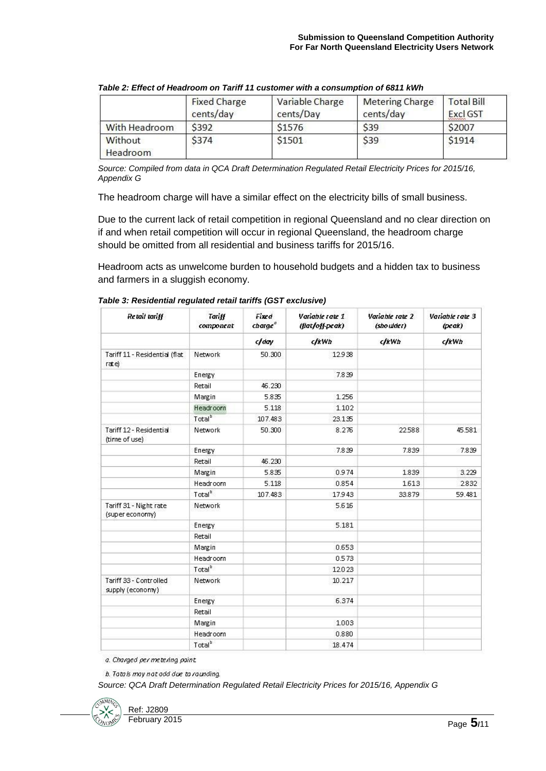|                     | <b>Fixed Charge</b><br>cents/day | Variable Charge<br>cents/Day | <b>Metering Charge</b><br>cents/day | <b>Total Bill</b><br>Excl GST |
|---------------------|----------------------------------|------------------------------|-------------------------------------|-------------------------------|
| With Headroom       | \$392                            | \$1576                       | <b>S39</b>                          | \$2007                        |
| Without<br>Headroom | \$374                            | \$1501                       | \$39                                | \$1914                        |

*Table 2: Effect of Headroom on Tariff 11 customer with a consumption of 6811 kWh*

*Source: Compiled from data in QCA Draft Determination Regulated Retail Electricity Prices for 2015/16, Appendix G*

The headroom charge will have a similar effect on the electricity bills of small business.

Due to the current lack of retail competition in regional Queensland and no clear direction on if and when retail competition will occur in regional Queensland, the headroom charge should be omitted from all residential and business tariffs for 2015/16.

Headroom acts as unwelcome burden to household budgets and a hidden tax to business and farmers in a sluggish economy.

| Retail tariff                              | <b>Tariff</b><br>component | Fixed<br>charge | Variable rate 1<br>(flat/off-peak) | Variable rate 2<br>(sho ulder) | Variable rate 3<br>$(\nperp)$ |
|--------------------------------------------|----------------------------|-----------------|------------------------------------|--------------------------------|-------------------------------|
|                                            |                            | c/day           | dkWh                               | dkWh                           | clkWh                         |
| Tariff 11 - Residential (flat<br>rate)     | Network                    | 50.300          | 12.938                             |                                |                               |
|                                            | Energy                     |                 | 7.839                              |                                |                               |
|                                            | Retail                     | 46.230          |                                    |                                |                               |
|                                            | Margin                     | 5.835           | 1.256                              |                                |                               |
|                                            | <b>Headroom</b>            | 5.118           | 1.102                              |                                |                               |
|                                            | Total <sup>b</sup>         | 107.483         | 23.135                             |                                |                               |
| Tariff 12 - Residential<br>(time of use)   | Network                    | 50.300          | 8.276                              | 22.588                         | 45.581                        |
|                                            | Energy                     |                 | 7.839                              | 7.839                          | 7.839                         |
|                                            | Retail                     | 46.230          |                                    |                                |                               |
|                                            | Margin                     | 5.835           | 0.974                              | 1.839                          | 3.229                         |
|                                            | Headroom                   | 5.118           | 0.854                              | 1.613                          | 2.832                         |
|                                            | Total <sup>b</sup>         | 107.483         | 17.943                             | 33.879                         | 59.481                        |
| Tariff 31 - Night rate<br>(super economy)  | Network                    |                 | 5.616                              |                                |                               |
|                                            | Energy                     |                 | 5.181                              |                                |                               |
|                                            | Retail                     |                 |                                    |                                |                               |
|                                            | Margin                     |                 | 0.653                              |                                |                               |
|                                            | Headroom                   |                 | 0.573                              |                                |                               |
|                                            | Total <sup>b</sup>         |                 | 12.023                             |                                |                               |
| Tariff 33 - Controlled<br>supply (economy) | Network                    |                 | 10.217                             |                                |                               |
|                                            | Energy                     |                 | 6.374                              |                                |                               |
|                                            | Retail                     |                 |                                    |                                |                               |
|                                            | Margin                     |                 | 1.003                              |                                |                               |
|                                            | Headroom                   |                 | 0.880                              |                                |                               |
|                                            | Total <sup>b</sup>         |                 | 18.474                             |                                |                               |

*Table 3: Residential regulated retail tariffs (GST exclusive)*

a. Charged per metering point.

b. Totals may not add due to rounding.

*Source: QCA Draft Determination Regulated Retail Electricity Prices for 2015/16, Appendix G*

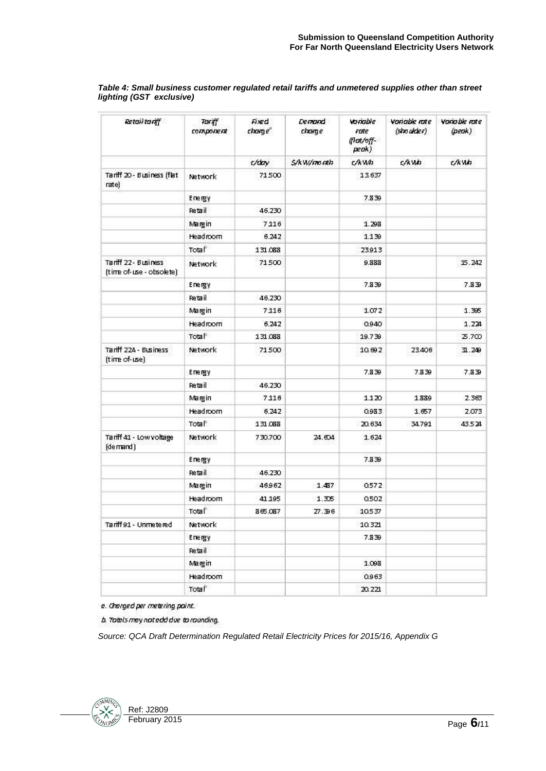| Retail tariff                                    | TOVAT<br>component | Fixed<br>charge <sup>®</sup> | <b>Demand</b><br>charge | Variable<br>rate<br>(रिक्स/off-<br>peak) | <b>Variable rate</b><br>$(\textsf{shower})$ | <b>Variable rate</b><br>(peak) |
|--------------------------------------------------|--------------------|------------------------------|-------------------------|------------------------------------------|---------------------------------------------|--------------------------------|
|                                                  |                    | c/day                        | S/kW/month              | c/kwh                                    | c/kWh                                       | c/kWh                          |
| Tariff 20 - Business (flat<br>rate)              | Network            | 71500                        |                         | 13.637                                   |                                             |                                |
|                                                  | Energy             |                              |                         | 7.839                                    |                                             |                                |
|                                                  | Retail             | 46.230                       |                         |                                          |                                             |                                |
|                                                  | Margin             | 7116                         |                         | 1.298                                    |                                             |                                |
|                                                  | Headroom           | 6.242                        |                         | 1.139                                    |                                             |                                |
|                                                  | Total              | 131.068                      |                         | 23.913                                   |                                             |                                |
| Tariff 22 - Business<br>(time of-use - obsolete) | Network            | 71500                        |                         | 9.888                                    |                                             | 15.242                         |
|                                                  | Energy             |                              |                         | 7.839                                    |                                             | 7.839                          |
|                                                  | Retail             | 46.230                       |                         |                                          |                                             |                                |
|                                                  | Margin             | 7116                         |                         | 1.072                                    |                                             | 1.395                          |
|                                                  | Headroom           | 6.242                        |                         | 0.940                                    |                                             | 1.224                          |
|                                                  | Total              | 131.068                      |                         | 19.739                                   |                                             | 25.700                         |
| Tariff 224 - Business<br>(time of-use)           | Network            | 71500                        |                         | 10.692                                   | 23.406                                      | 31.249                         |
|                                                  | Energy             |                              |                         | 7.839                                    | 7.839                                       | 7.839                          |
|                                                  | Retail             | 46.230                       |                         |                                          |                                             |                                |
|                                                  | Margin             | 7116                         |                         | 1.120                                    | 1.889                                       | 2.363                          |
|                                                  | Headroom           | 6.242                        |                         | 0.983                                    | 1.657                                       | 2.073                          |
|                                                  | Total              | 131.068                      |                         | 20.634                                   | 34.791                                      | 43.524                         |
| Tariff 41 - Low voltage<br>(demand)              | Network            | 730.700                      | 24.604                  | 1.624                                    |                                             |                                |
|                                                  | Energy             |                              |                         | 7.839                                    |                                             |                                |
|                                                  | Retail             | 46.230                       |                         |                                          |                                             |                                |
|                                                  | Margin             | 46962                        | 1.437                   | 0.572                                    |                                             |                                |
|                                                  | Headroom           | 41 195                       | 1.306                   | 0.502                                    |                                             |                                |
|                                                  | Total              | 865.087                      | Z7.396                  | 10.537                                   |                                             |                                |
| Tariff 91 - Unmetered                            | Network            |                              |                         | 10.321                                   |                                             |                                |
|                                                  | Energy             |                              |                         | 7.839                                    |                                             |                                |
|                                                  | Retail             |                              |                         |                                          |                                             |                                |
|                                                  | Margin             |                              |                         | 1.098                                    |                                             |                                |
|                                                  | Headroom           |                              |                         | 0.963                                    |                                             |                                |
|                                                  | Total              |                              |                         | 20.221                                   |                                             |                                |

#### *Table 4: Small business customer regulated retail tariffs and unmetered supplies other than street lighting (GST exclusive)*

a. Charged per metering point.

b. Tatals may national due to rounding.

*Source: QCA Draft Determination Regulated Retail Electricity Prices for 2015/16, Appendix G*

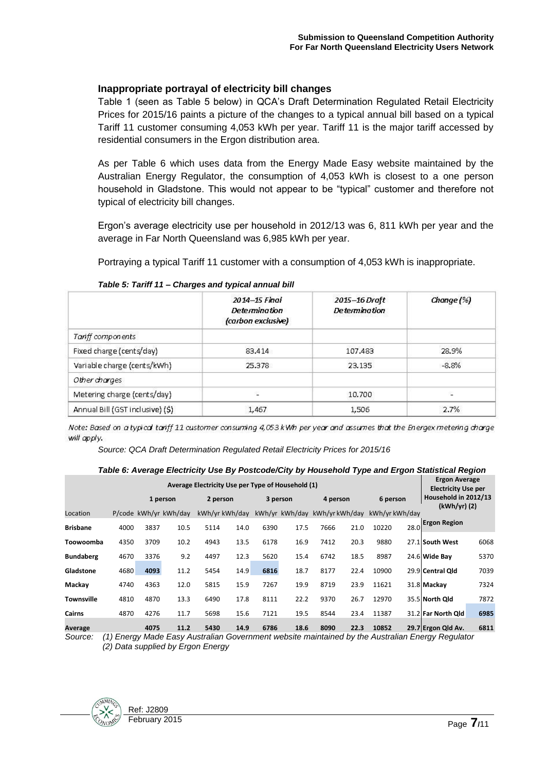#### **Inappropriate portrayal of electricity bill changes**

Table 1 (seen as Table 5 below) in QCA's Draft Determination Regulated Retail Electricity Prices for 2015/16 paints a picture of the changes to a typical annual bill based on a typical Tariff 11 customer consuming 4,053 kWh per year. Tariff 11 is the major tariff accessed by residential consumers in the Ergon distribution area.

As per Table 6 which uses data from the Energy Made Easy website maintained by the Australian Energy Regulator, the consumption of 4,053 kWh is closest to a one person household in Gladstone. This would not appear to be "typical" customer and therefore not typical of electricity bill changes.

Ergon's average electricity use per household in 2012/13 was 6, 811 kWh per year and the average in Far North Queensland was 6,985 kWh per year.

Portraying a typical Tariff 11 customer with a consumption of 4,053 kWh is inappropriate.

|                                  | 2014-15 Final<br><b>Determination</b><br>(carbon exclusive) | 2015-16 Draft<br><b>Determination</b> | Change (%) |
|----------------------------------|-------------------------------------------------------------|---------------------------------------|------------|
| Tariff components                |                                                             |                                       |            |
| Fixed charge (cents/day)         | 83.414                                                      | 107.483                               | 28.9%      |
| Variable charge (cents/kWh)      | 25.378                                                      | 23.135                                | $-8.8%$    |
| Other charges                    |                                                             |                                       |            |
| Metering charge (cents/day)      | 4                                                           | 10,700                                |            |
| Annual Bill (GST inclusive) (\$) | 1,467                                                       | 1,506                                 | 2.7%       |

*Table 5: Tariff 11 – Charges and typical annual bill*

Note: Based on a typical tariff 11 customer consuming 4,053 kWh per year and assumes that the Energex metering charge will apply.

*Source: QCA Draft Determination Regulated Retail Electricity Prices for 2015/16*

|                   |                                                   |      |                       |      |          |      |                                              |      |                                                    |               |          | Table 6: Average Electricity Use By Postcode/City by Housenold Type and Ergon Statistical Region |      |
|-------------------|---------------------------------------------------|------|-----------------------|------|----------|------|----------------------------------------------|------|----------------------------------------------------|---------------|----------|--------------------------------------------------------------------------------------------------|------|
|                   | Average Electricity Use per Type of Household (1) |      |                       |      |          |      |                                              |      | <b>Ergon Average</b><br><b>Electricity Use per</b> |               |          |                                                                                                  |      |
|                   |                                                   |      | 1 person              |      | 2 person |      | 3 person                                     |      | 4 person                                           |               | 6 person | Household in 2012/13<br>$(kWh/yr)$ (2)                                                           |      |
| Location          |                                                   |      | P/code kWh/vr kWh/day |      |          |      | kWh/yr kWh/day kWh/yr kWh/day kWh/yr kWh/day |      |                                                    | kWh/vrkWh/dav |          |                                                                                                  |      |
| <b>Brisbane</b>   | 4000                                              | 3837 | 10.5                  | 5114 | 14.0     | 6390 | 17.5                                         | 7666 | 21.0                                               | 10220         | 28.0     | <b>Ergon Region</b>                                                                              |      |
| Toowoomba         | 4350                                              | 3709 | 10.2                  | 4943 | 13.5     | 6178 | 16.9                                         | 7412 | 20.3                                               | 9880          |          | 27.1 South West                                                                                  | 6068 |
| <b>Bundaberg</b>  | 4670                                              | 3376 | 9.2                   | 4497 | 12.3     | 5620 | 15.4                                         | 6742 | 18.5                                               | 8987          |          | 24.6 Wide Bay                                                                                    | 5370 |
| Gladstone         | 4680                                              | 4093 | 11.2                  | 5454 | 14.9     | 6816 | 18.7                                         | 8177 | 22.4                                               | 10900         |          | 29.9 Central Old                                                                                 | 7039 |
| Mackay            | 4740                                              | 4363 | 12.0                  | 5815 | 15.9     | 7267 | 19.9                                         | 8719 | 23.9                                               | 11621         |          | 31.8 Mackay                                                                                      | 7324 |
| <b>Townsville</b> | 4810                                              | 4870 | 13.3                  | 6490 | 17.8     | 8111 | 22.2                                         | 9370 | 26.7                                               | 12970         |          | 35.5 North Old                                                                                   | 7872 |
| Cairns            | 4870                                              | 4276 | 11.7                  | 5698 | 15.6     | 7121 | 19.5                                         | 8544 | 23.4                                               | 11387         |          | 31.2 Far North Old                                                                               | 6985 |
| Average           |                                                   | 4075 | 11.2                  | 5430 | 14.9     | 6786 | 18.6                                         | 8090 | 22.3                                               | 10852         |          | 29.7 Ergon Qld Av.                                                                               | 6811 |

*Table 6: Average Electricity Use By Postcode/City by Household Type and Ergon Statistical Region*

*Source: (1) Energy Made Easy Australian Government website maintained by the Australian Energy Regulator (2) Data supplied by Ergon Energy*

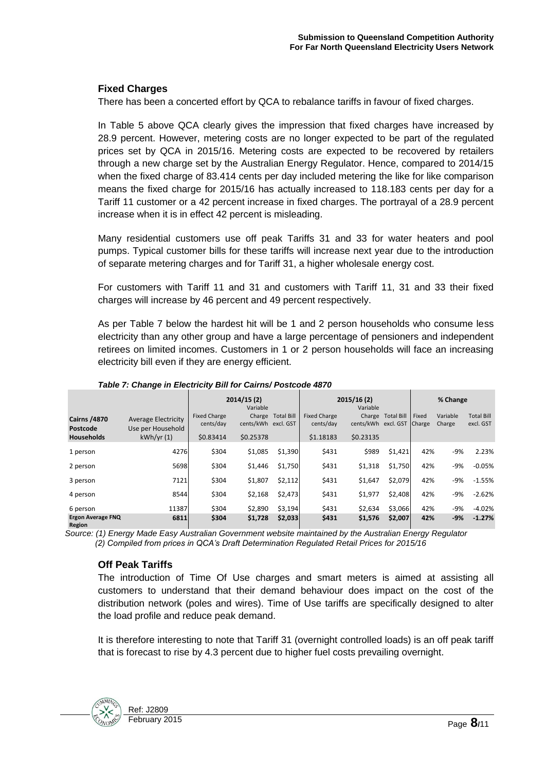# **Fixed Charges**

There has been a concerted effort by QCA to rebalance tariffs in favour of fixed charges.

In Table 5 above QCA clearly gives the impression that fixed charges have increased by 28.9 percent. However, metering costs are no longer expected to be part of the regulated prices set by QCA in 2015/16. Metering costs are expected to be recovered by retailers through a new charge set by the Australian Energy Regulator. Hence, compared to 2014/15 when the fixed charge of 83.414 cents per day included metering the like for like comparison means the fixed charge for 2015/16 has actually increased to 118.183 cents per day for a Tariff 11 customer or a 42 percent increase in fixed charges. The portrayal of a 28.9 percent increase when it is in effect 42 percent is misleading.

Many residential customers use off peak Tariffs 31 and 33 for water heaters and pool pumps. Typical customer bills for these tariffs will increase next year due to the introduction of separate metering charges and for Tariff 31, a higher wholesale energy cost.

For customers with Tariff 11 and 31 and customers with Tariff 11, 31 and 33 their fixed charges will increase by 46 percent and 49 percent respectively.

As per Table 7 below the hardest hit will be 1 and 2 person households who consume less electricity than any other group and have a large percentage of pensioners and independent retirees on limited incomes. Customers in 1 or 2 person households will face an increasing electricity bill even if they are energy efficient.

|                                                      | 2014/15(2)<br>Variable                                       |                                               |                                  |                   |                                               | 2015/16(2)<br>Variable                            | % Change   |       |                    |                                |
|------------------------------------------------------|--------------------------------------------------------------|-----------------------------------------------|----------------------------------|-------------------|-----------------------------------------------|---------------------------------------------------|------------|-------|--------------------|--------------------------------|
| <b>Cairns /4870</b><br>Postcode<br><b>Households</b> | <b>Average Electricity</b><br>Use per Household<br>kWh/yr(1) | <b>Fixed Charge</b><br>cents/day<br>\$0.83414 | cents/kWh excl. GST<br>\$0.25378 | Charge Total Bill | <b>Fixed Charge</b><br>cents/day<br>\$1.18183 | Charge<br>cents/kWh excl. GST Charge<br>\$0.23135 | Total Bill | Fixed | Variable<br>Charge | <b>Total Bill</b><br>excl. GST |
| 1 person                                             | 4276                                                         | \$304                                         | \$1,085                          | \$1,390           | \$431                                         | \$989                                             | \$1,421    | 42%   | -9%                | 2.23%                          |
| 2 person                                             | 5698                                                         | \$304                                         | \$1,446                          | \$1,750           | \$431                                         | \$1,318                                           | \$1,750    | 42%   | $-9%$              | $-0.05%$                       |
| 3 person                                             | 7121                                                         | \$304                                         | \$1,807                          | \$2,112           | \$431                                         | \$1,647                                           | \$2,079    | 42%   | -9%                | $-1.55%$                       |
| 4 person                                             | 8544                                                         | \$304                                         | \$2,168                          | \$2,473           | \$431                                         | \$1,977                                           | \$2.408    | 42%   | -9%                | $-2.62%$                       |
| 6 person                                             | 11387                                                        | \$304                                         | \$2,890                          | \$3,194           | \$431                                         | \$2,634                                           | \$3,066    | 42%   | -9%                | $-4.02%$                       |
| Ergon Average FNQ<br>Region                          | 6811                                                         | \$304                                         | \$1,728                          | \$2,033           | \$431                                         | \$1,576                                           | \$2,007    | 42%   | $-9%$              | $-1.27%$                       |

*Table 7: Change in Electricity Bill for Cairns/ Postcode 4870*

*Source: (1) Energy Made Easy Australian Government website maintained by the Australian Energy Regulator (2) Compiled from prices in QCA's Draft Determination Regulated Retail Prices for 2015/16*

# **Off Peak Tariffs**

The introduction of Time Of Use charges and smart meters is aimed at assisting all customers to understand that their demand behaviour does impact on the cost of the distribution network (poles and wires). Time of Use tariffs are specifically designed to alter the load profile and reduce peak demand.

It is therefore interesting to note that Tariff 31 (overnight controlled loads) is an off peak tariff that is forecast to rise by 4.3 percent due to higher fuel costs prevailing overnight.

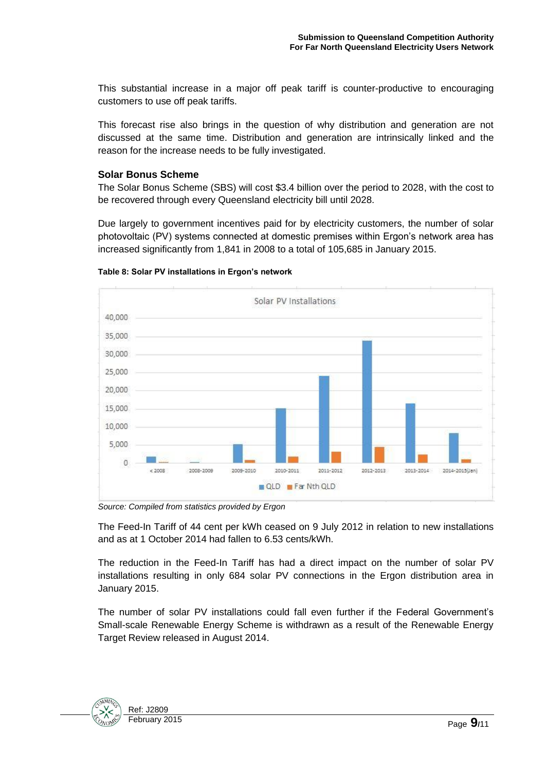This substantial increase in a major off peak tariff is counter-productive to encouraging customers to use off peak tariffs.

This forecast rise also brings in the question of why distribution and generation are not discussed at the same time. Distribution and generation are intrinsically linked and the reason for the increase needs to be fully investigated.

### **Solar Bonus Scheme**

The Solar Bonus Scheme (SBS) will cost \$3.4 billion over the period to 2028, with the cost to be recovered through every Queensland electricity bill until 2028.

Due largely to government incentives paid for by electricity customers, the number of solar photovoltaic (PV) systems connected at domestic premises within Ergon's network area has increased significantly from 1,841 in 2008 to a total of 105,685 in January 2015.



#### **Table 8: Solar PV installations in Ergon's network**

*Source: Compiled from statistics provided by Ergon*

The Feed-In Tariff of 44 cent per kWh ceased on 9 July 2012 in relation to new installations and as at 1 October 2014 had fallen to 6.53 cents/kWh.

The reduction in the Feed-In Tariff has had a direct impact on the number of solar PV installations resulting in only 684 solar PV connections in the Ergon distribution area in January 2015.

The number of solar PV installations could fall even further if the Federal Government's Small-scale Renewable Energy Scheme is withdrawn as a result of the Renewable Energy Target Review released in August 2014.

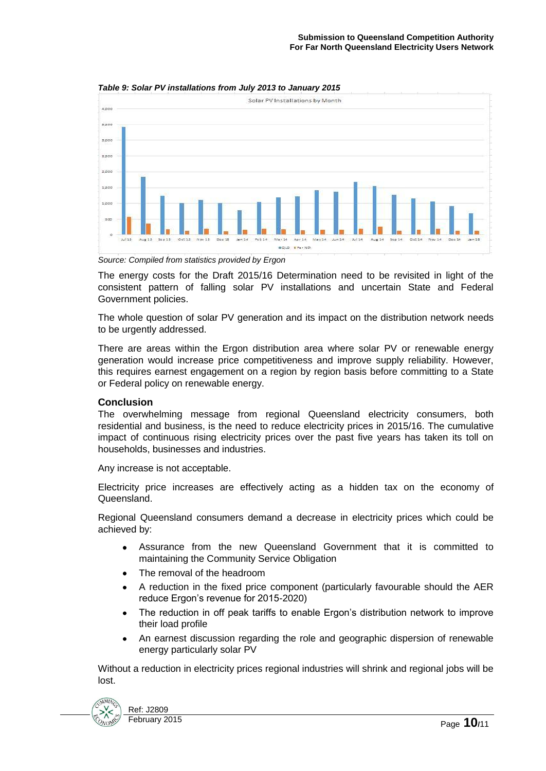

*Table 9: Solar PV installations from July 2013 to January 2015*

*Source: Compiled from statistics provided by Ergon*

The energy costs for the Draft 2015/16 Determination need to be revisited in light of the consistent pattern of falling solar PV installations and uncertain State and Federal Government policies.

The whole question of solar PV generation and its impact on the distribution network needs to be urgently addressed.

There are areas within the Ergon distribution area where solar PV or renewable energy generation would increase price competitiveness and improve supply reliability. However, this requires earnest engagement on a region by region basis before committing to a State or Federal policy on renewable energy.

#### **Conclusion**

The overwhelming message from regional Queensland electricity consumers, both residential and business, is the need to reduce electricity prices in 2015/16. The cumulative impact of continuous rising electricity prices over the past five years has taken its toll on households, businesses and industries.

Any increase is not acceptable.

Electricity price increases are effectively acting as a hidden tax on the economy of Queensland.

Regional Queensland consumers demand a decrease in electricity prices which could be achieved by:

- Assurance from the new Queensland Government that it is committed to maintaining the Community Service Obligation
- The removal of the headroom
- A reduction in the fixed price component (particularly favourable should the AER reduce Ergon's revenue for 2015-2020)
- The reduction in off peak tariffs to enable Ergon's distribution network to improve  $\bullet$ their load profile
- An earnest discussion regarding the role and geographic dispersion of renewable  $\bullet$ energy particularly solar PV

Without a reduction in electricity prices regional industries will shrink and regional jobs will be lost.